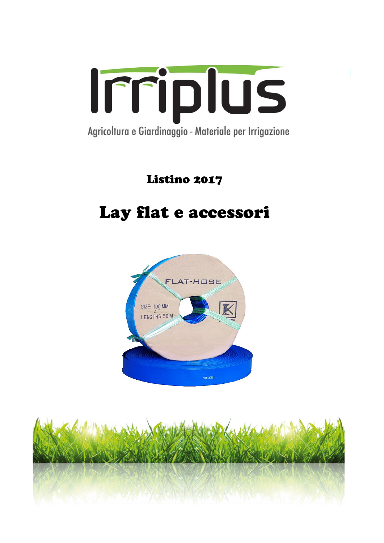

Listino 2017

# Lay flat e accessori



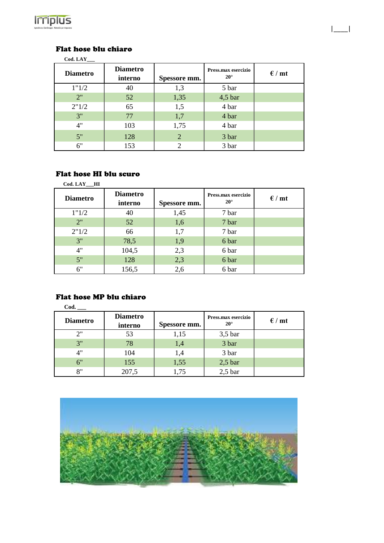

### Flat hose blu chiaro

| <b>Diametro</b> | <b>Diametro</b><br>interno | Spessore mm. | Press.max esercizio<br>$20^{\circ}$ | $\epsilon$ / mt |
|-----------------|----------------------------|--------------|-------------------------------------|-----------------|
| 1"1/2           | 40                         | 1,3          | 5 bar                               |                 |
| 2"              | 52                         | 1,35         | $4,5$ bar                           |                 |
| 2"1/2           | 65                         | 1,5          | 4 bar                               |                 |
| 3"              | 77                         | 1,7          | 4 bar                               |                 |
| 4"              | 103                        | 1,75         | 4 bar                               |                 |
| 5"              | 128                        | 2            | 3 bar                               |                 |
| 6"              | 153                        | ↑            | 3 bar                               |                 |

|\_\_\_\_|

### Flat hose HI blu scuro

| Cod. LAY HI     |                            |              |                                     |                 |
|-----------------|----------------------------|--------------|-------------------------------------|-----------------|
| <b>Diametro</b> | <b>Diametro</b><br>interno | Spessore mm. | Press.max esercizio<br>$20^{\circ}$ | $\epsilon$ / mt |
| 1"1/2           | 40                         | 1,45         | 7 bar                               |                 |
| 2"              | 52                         | 1,6          | 7 bar                               |                 |
| 2"1/2           | 66                         | 1,7          | 7 bar                               |                 |
| 3"              | 78,5                       | 1,9          | 6 bar                               |                 |
| 4"              | 104,5                      | 2,3          | 6 bar                               |                 |
| 5"              | 128                        | 2,3          | 6 bar                               |                 |
| 6"              | 156,5                      | 2,6          | 6 bar                               |                 |

### Flat hose MP blu chiaro

| Cod.            |                            |              |                                     |                 |  |  |  |
|-----------------|----------------------------|--------------|-------------------------------------|-----------------|--|--|--|
| <b>Diametro</b> | <b>Diametro</b><br>interno | Spessore mm. | Press.max esercizio<br>$20^{\circ}$ | $\epsilon$ / mt |  |  |  |
| 2"              | 53                         | 1,15         | $3,5$ bar                           |                 |  |  |  |
| 3"              | 78                         | 1,4          | 3 bar                               |                 |  |  |  |
| 4"              | 104                        | 1,4          | 3 bar                               |                 |  |  |  |
| 6"              | 155                        | 1,55         | $2,5$ bar                           |                 |  |  |  |
| 8"              | 207,5                      | 1,75         | $2,5$ bar                           |                 |  |  |  |